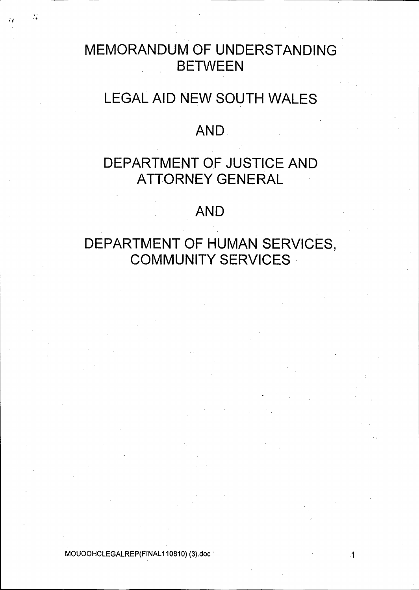# MEMORANDUM OF UNDERSTANDING BETWEEN

у.<br>См

# LEGAL AID NEW SOUTH WALES

# AND.

# DEPARTMENT OF JUSTICE AND ATTORNEY GENERAL

# AND

# DEPARTMENT OF HUMAN SERVICES, COMMUNITY SERVICES

MOUOOHCLEGALREP(FINAL110810) (3).doc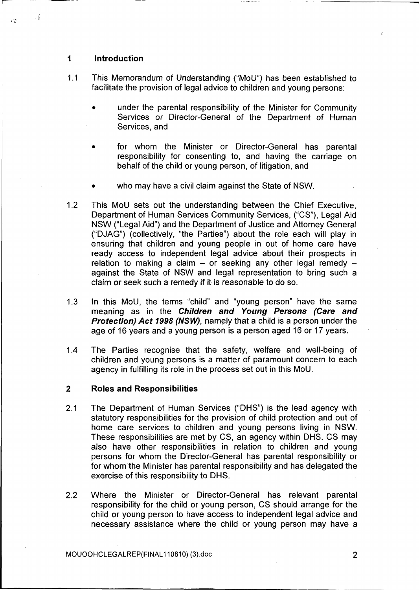#### $\blacktriangleleft$ **Introduction**

 $\cdot$  :

 $\ddot{\phantom{1}}$ 

- 1.1 This Memorandum of Understanding ("MoU") has been established to facilitate the provision of legal advice to children and young persons:
	- under the parental responsibility of the Minister for Community Services or Director-General of the Department of Human Services, and
	- for whom the Minister or Director-General has parental responsibility for consenting to, and having the carriage on behalf of the child or young person, of litigation, and
	- who may have a civil claim against the State of NSW.
- 1.2 This MoLL sets out the understanding between the Chief Executive Department of Human Services Community Services, ("CS"), Legal Aid NSW ("I egal Aid") and the Department of Justice and Attorney Gener ("D JAG") (collectively, "the Parties") about the role each will play in ensuring that children and young people in out of home care have ready access to independent legal advice about their prospects in relation to making a claim  $-$  or seeking any other legal remedy  $$ against the State of NSW and legal representation to bring such a claim or seek such a remedy if it is reasonable to do so.
- 1.3 In this MoU, the terms "child" and "young person" have the same meaning as in the Children and Young Persons (Care and Protection) Act 1998 (NSW), namely that a child is a person under the age of 16 years and a young person is a person aged 16 or 17 years.
- 1.4 The Parties recognise that the safety, welfare and well-being of children and young persons is a matter of paramount concern to each agency in fulfilling its role in the process set out in this MoU.

#### 2 Roles and Responsibilities

- 2.1 The Department of Human Services ("DHS") is the lead agency with statutory responsibilities for the provision of child protection and out of home care services to children and young persons living in NSW. These responsibilities are met by CS, an agency within DHS. CS may also have other responsibilities in relation to children and young persons for whom the Director-General has parental responsibility or for whom the Minister has parental responsibility and has delegated the exercise of this responsibility to DHS.
- 2.2 Where the Minister or Director-General has relevant parental responsibility for the child or young person, CS should arrange for the child or young person to have access to independent legal advice and necessary assistance where the child or young person may have a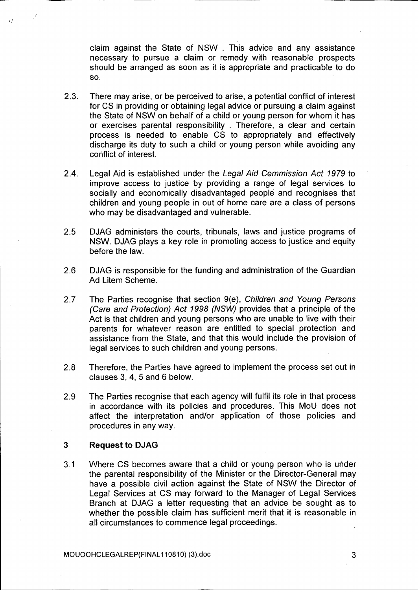claim against the State of NSW. This advice and any assistance necessary to pursue a claim or remedy with reasonable prospects should be arranged as soon as it is appropriate and practicable to do SO.

- $2.3.$ There may arise, or be perceived to arise, a potential conflict of interest for CS in providing or obtaining legal advice or pursuing a claim against the State of NSW on behalf of a child or young person for whom it has or exercises parental responsibility. Therefore, a clear and certain process is needed to enable CS to appropriately and effectively discharge its duty to such a child or young person while avoiding any conflict of interest.
- 2.4. Legal Aid is established under the Legal Aid Commission Act 1979 to improve access to justice by providing a range of legal services to socially and economically disadvantaged people and recognises that children and young people in out of home care are a class of persons who may be disadvantaged and vulnerable.
- 2.5 DJAG administers the courts, tribunals, laws and justice programs of NSW. DJAG plays a key role in promoting access to justice and equity before the law.
- 2.6 DJAG is responsible for the funding and administration of the Guardian Ad Litem Scheme.
- 2.7 The Parties recognise that section 9(e), Children and Young Persons (Care and Protection) Act 1998 (NSW) provides that a principle of the Act is that children and young persons who are unable to live with their parents for whatever reason are entitled to special protection and assistance from the State, and that this would include the provision of legal services to such children and young persons.
- 2.8 Therefore, the Parties have agreed to implement the process set out in clauses 3, 4, 5 and 6 below.
- 2.9 The Parties recognise that each agency will fulfil its role in that process in accordance with its policies and procedures. This MoU does not affect the interpretation and/or application of those policies and procedures in any way.

#### 3 **Request to DJAG**

A.

 $\mathcal{C}^{\bullet}_{\bullet}$  ,  $\mathcal{C}^{\bullet}_{\bullet}$ 

3.1 Where CS becomes aware that a child or young person who is under the parental responsibility of the Minister or the Director-General may have a possible civil action against the State of NSW the Director of Legal Services at CS may forward to the Manager of Legal Services Branch at DJAG a letter requesting that an advice be sought as to whether the possible claim has sufficient merit that it is reasonable in all circumstances to commence legal proceedings.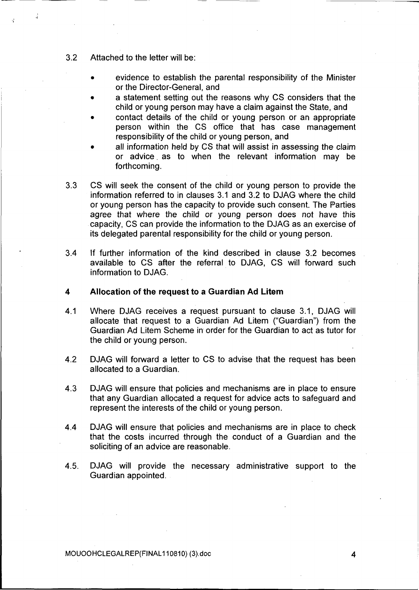- $3.2$ Attached to the letter will be:
	- evidence to establish the parental responsibility of the Minister or the Director-General, and
	- a statement setting out the reasons why CS considers that the child or young person may have a claim against the State, and
	- contact details of the child or young person or an appropriate person within the CS office that has case management responsibility of the child or young person, and
	- all information held by CS that will assist in assessing the claim or advice as to when the relevant information may be forthcoming.
- 3.3 CS will seek the consent of the child or young person to provide the information referred to in clauses 3.1 and 3.2 to DJAG where the child or young person has the capacity to provide such consent. The Parties agree that where the child or young person does not have this capacity, CS can provide the information to the D JAG as an exercise of its delegated parental responsibility for the child or young person.
- 3.4 If further information of the kind described in clause 3.2 becomes available to CS after the referral to DJAG, CS will forward such information to DJAG.

#### 4 Allocation of the request to a Guardian Ad Litem

- 4.1 Where DJAG receives a request pursuant to clause 3.1, DJAG will allocate that request to a Guardian Ad Litem ("Guardian") from the Guardian Ad Litem Scheme in order for the Guardian to act as tutor for the child or young person.
- 4.2 DJAG will forward a letter to CS to advise that the request has been allocated to a Guardian.
- 4.3 DJAG will ensure that policies and mechanisms are in place to ensure that any Guardian allocated a request for advice acts to safeguard and represent the interests of the child or young person.
- 4.4 DJAG will ensure that policies and mechanisms are in place to check that the costs incurred through the conduct of a Guardian and the soliciting of an advice are reasonable.
- 4.5. DJAG will provide the necessary administrative support to the Guardian appointed.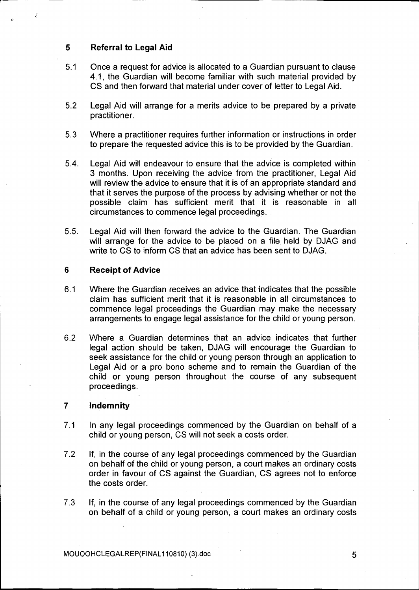#### 5 Referral to Legal Aid

- 5.1 Once a request for advice is allocated to a Guardian pursuant to clause 4.1, the Guardian will become familiar with such material provided by CS and then forward that material under cover of letter to Legal Aid.
- 5.2 Legal Aid will arrange for a merits advice to be prepared by a private practitioner.
- 5.3 Where a practitioner requires further information or instructions in order to prepare the requested advice this is to be provided by the Guardian.
- 5.4. Legal Aid will endeavour to ensure that the advice is completed within 3 months. Upon receiving the advice from the practitioner, Legal Aid will review the advice to ensure that it is of an appropriate standard and that it serves the purpose of the process by advising whether or not the possible claim has sufficient merit that it is reasonable in all circumstances to commence legal proceedings.
- 5.5. Legal Aid will then forward the advice to the Guardian. The Guardian will arrange for the advice to be placed on a file held by DJAG and write to CS to inform CS that an advice has been sent to DJAG.

#### 6 Receipt of Advice

- 6.1 Where the Guardian receives an advice that indicates that the possible claim has sufficient merit that it is reasonable in all circumstances to commence legal proceedings the Guardian may make the necessary arrangements to engage legal assistance for the child or young person.
- 6.2 Where a Guardian determines that an advice indicates that further legal action should be taken, DJAG will encourage the Guardian to seek assistance for the child or young person through an application to Legal Aid or a pro bono scheme and to remain the Guardian of the child or young person throughout the course of any subsequent proceedings.

#### 7 Indemnity

- 7.1 In any legal proceedings commenced by the Guardian on behalf of a child or young person, CS will not seek a costs order.
- 7.2 If, in the course of any legal proceedings commenced by the Guardian on behalf of the child or young person, a court makes an ordinary costs order in favour of CS against the Guardian, CS agrees not to enforce the costs order.
- 7.3 If, in the course of any legal proceedings commenced by the Guardian on behalf of a child or young person, a court makes an ordinary costs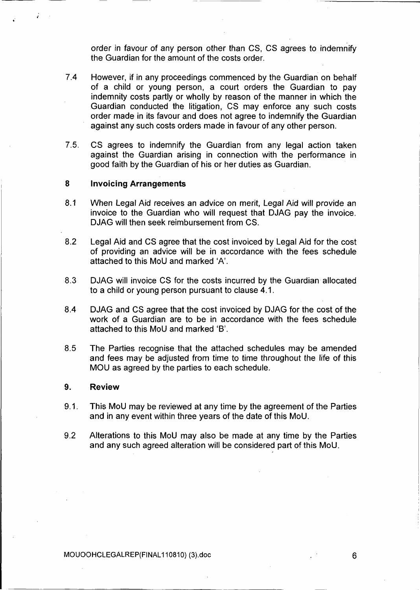order in favour of any person other than CS, CS agrees to indemnify the Guardian for the amount of the costs order.

- $7.4$ However, if in any proceedings commenced by the Guardian on behalf of a child or young person, a court orders the Guardian to pay indemnity costs partly or wholly by reason of the manner in which the Guardian conducted the litigation, CS may enforce any such costs order made in its favour and does not agree to indemnify the Guardian against any such costs orders made in favour of any other person.
- 7.5. CS agrees to indemnify the Guardian from any legal action taken against the Guardian arising in connection with the performance in good faith by the Guardian of his or her duties as Guardian.

#### 8 Invoicing Arrangements

- 8.1 When Legal Aid receives an advice on merit, Legal Aid will provide an invoice to the Guardian who will request that DJAG pay the invoice. DJAG will then seek reimbursement from CS.
- 8.2 Legal Aid and CS agree that the cost invoiced by Legal Aid for the cost of providing an advice will be in accordance with the fees schedule attached to this MoU and marked 'A'.
- 8.3 DJAG will invoice CS for the costs incurred by the Guardian allocated to a child or young person pursuant to clause 4.1.
- 8.4 DJAG and CS agree that the cost invoiced by DJAG for the cost of the work of a Guardian are to be in accordance with the fees schedule attached to this MoU and marked 'B'.
- 8.5 The Parties recognise that the attached schedules may be amended and fees may be adjusted from time to time throughout the life of this MOU as agreed by the parties to each schedule.

#### 9. Review

- $9.1.$ This MoU may be reviewed at any time by the agreement of the Parties and in any event within three years of the date of this MoU.
- 9.2 Alterations to this MoU may also be made at any time by the Parties and any such agreed alteration will be considered part of this MoU.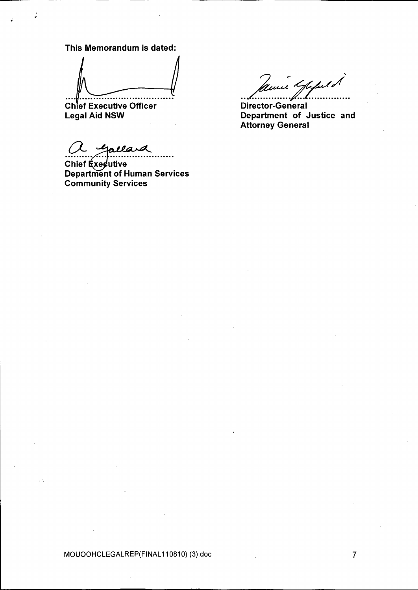This Memorandum is dated:

**Chief Executive Officer** Legal Aid NSW

~~~" CommunitY Services "S'e"rvices

 $\mu\mu$  K m=

Director-General Department of Justice and Attorney General

MOUOOHCLEGALREP(FINAL110810) (3).doc 7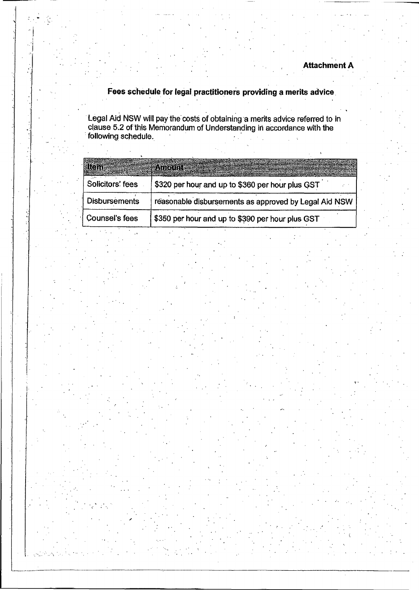• • /

## Fees schedule for legal practitioners providing a merits advice

clause 5.2 ofthis Memorandum of Understanding in accordance with the following schedule

|                      | ※支付はのの時に書き                                            |
|----------------------|-------------------------------------------------------|
| Solicitors' fees     | \$320 per hour and up to \$360 per hour plus GST      |
| <b>Disbursements</b> | reasonable disbursements as approved by Legal Aid NSW |
| Counsel's fees       | \$350 per hour and up to \$390 per hour plus GST      |

/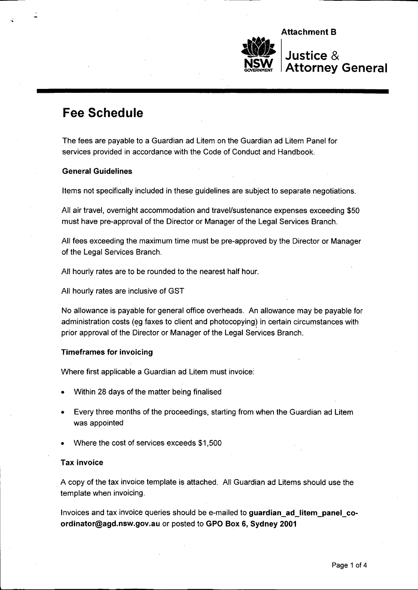

# Fee Schedule

The fees are payable to a Guardian ad Litem on the Guardian ad Litem Panel for services provided in accordance with the Code of Conduct and Handbook.

### General Guidelines

Items not specifically included in these guidelines are subject to separate negotiations.

All air travel, overnight accommodation and travel/sustenance expenses exceeding \$50 must have pre-approval of the Director or Manager of the Legal Services Branch.

All fees exceeding the maximum time must be pre-approved by the Director or Manager of the Legal Services Branch.

All hourly rates are to be rounded to the nearest half hour.

All hourly rates are inclusive of GST

No allowance is payable for general office overheads. An allowance may be payable for administration costs (eg faxes to client and photocopying) in certain circumstances with prior approval of the Director or Manager of the Legal Services Branch.

### Timeframes for invoicing

Where first applicable a Guardian ad Litem must invoice:.

- Within 28 days of the matter being finalised
- Every three months of the proceedings, starting from when the Guardian ad Litem was appointed
- Where the cost of services exceeds \$1,500

### Tax invoice

A copy of the tax invoice template is attached. All Guardian ad Litems should use the template when invoicing.

Invoices and tax invoice queries should be e-mailed to guardian ad litem\_panel\_coordinator@agd.nsw.gov.au or posted to GPO Box 6, Sydney 2001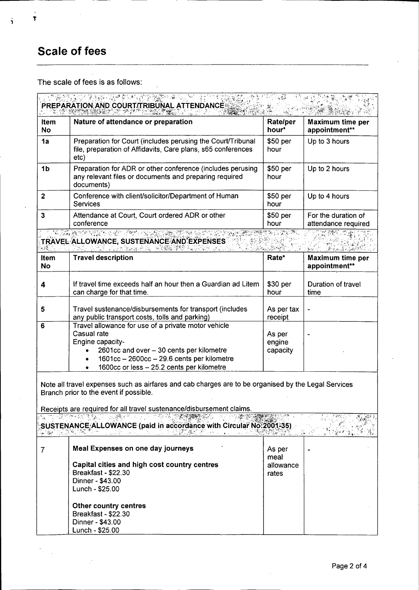# **Scale of fees**

 $\frac{1}{3}$ 

 $\ddot{\phantom{a}}$  $\frac{1}{2}$ 

 $\frac{1}{2}$ 

 $\dot{3}$ 

 $\bar{z}$ The scale of fees is as follows:

 $\overline{a}$ 

| <b>Item</b><br><b>No</b> | Nature of attendance or preparation                                                                                                                                                                                                                                                                                                          | Rate/per<br>hour*            | <b>Maximum time per</b><br>appointment**   |  |  |
|--------------------------|----------------------------------------------------------------------------------------------------------------------------------------------------------------------------------------------------------------------------------------------------------------------------------------------------------------------------------------------|------------------------------|--------------------------------------------|--|--|
| 1a                       | Preparation for Court (includes perusing the Court/Tribunal<br>file, preparation of Affidavits, Care plans, s65 conferences<br>etc)                                                                                                                                                                                                          | \$50 per<br>hour             | Up to 3 hours                              |  |  |
| 1b                       | Preparation for ADR or other conference (includes perusing<br>any relevant files or documents and preparing required<br>documents)                                                                                                                                                                                                           | \$50 per<br>hour             | Up to 2 hours                              |  |  |
| $\mathbf{2}$             | Conference with client/solicitor/Department of Human<br><b>Services</b>                                                                                                                                                                                                                                                                      | \$50 per<br>hour             | Up to 4 hours                              |  |  |
| 3                        | Attendance at Court, Court ordered ADR or other<br>conference                                                                                                                                                                                                                                                                                | \$50 per<br>hour             | For the duration of<br>attendance required |  |  |
|                          | <u>N CARACTER COM A COMPANY A COMPANY AND NATIONAL COMMUNISTIES OF THE COMPANY OF THE COMPANY OF THE COMPANY OF THE COMPANY OF THE COMPANY OF THE COMPANY OF THE COMPANY OF THE COMPANY OF THE COMPANY OF THE COMPANY OF THE COM</u><br>TRAVEL ALLOWANCE, SUSTENANCE AND EXPENSES<br>医反应激素或补偿<br>12. 사이 12. 그는 12. 12. 12. 전에 대한 부분을 하는 것이다. |                              |                                            |  |  |
| Item<br><b>No</b>        | <b>Travel description</b>                                                                                                                                                                                                                                                                                                                    | Rate*                        | Maximum time per<br>appointment**          |  |  |
| 4                        | If travel time exceeds half an hour then a Guardian ad Litem<br>can charge for that time.                                                                                                                                                                                                                                                    | \$30 per<br>hour             | Duration of travel<br>time                 |  |  |
| 5                        | Travel sustenance/disbursements for transport (includes<br>any public transport costs, tolls and parking)                                                                                                                                                                                                                                    | As per tax<br>receipt        |                                            |  |  |
| 6                        | Travel allowance for use of a private motor vehicle<br>Casual rate<br>Engine capacity-<br>2601cc and over - 30 cents per kilometre<br>1601cc - 2600cc - 29.6 cents per kilometre<br>1600cc or less - 25.2 cents per kilometre                                                                                                                | As per<br>engine<br>capacity |                                            |  |  |
|                          | Note all travel expenses such as airfares and cab charges are to be organised by the Legal Services<br>Branch prior to the event if possible.                                                                                                                                                                                                |                              |                                            |  |  |
|                          | Receipts are required for all travel sustenance/disbursement claims<br>SUSTENANCE ALLOWANCE (paid in accordance with Circular No.2001-35)                                                                                                                                                                                                    |                              |                                            |  |  |
| 7                        | Meal Expenses on one day journeys                                                                                                                                                                                                                                                                                                            | As per<br>meal               |                                            |  |  |
|                          | Capital cities and high cost country centres<br>Breakfast - \$22.30<br>Dinner - \$43.00<br>Lunch - \$25.00                                                                                                                                                                                                                                   | allowance<br>rates           |                                            |  |  |
|                          | Other country centres<br>Breakfast - \$22.30<br>Dinner - \$43.00<br>Lunch - \$25.00                                                                                                                                                                                                                                                          |                              |                                            |  |  |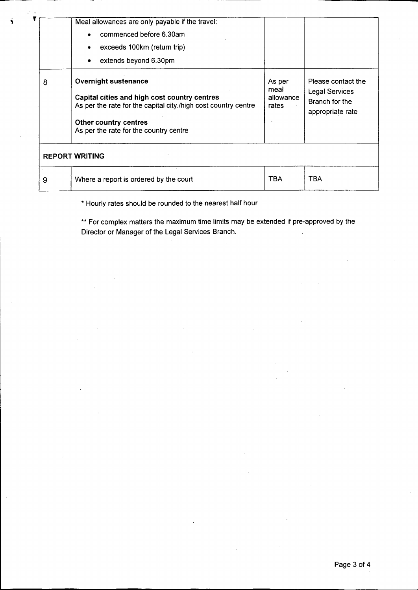|                       | Meal allowances are only payable if the travel:<br>commenced before 6.30am<br>exceeds 100km (return trip)<br>extends beyond 6.30pm                                                                               |                                      |                                                                                   |  |  |  |
|-----------------------|------------------------------------------------------------------------------------------------------------------------------------------------------------------------------------------------------------------|--------------------------------------|-----------------------------------------------------------------------------------|--|--|--|
| 8                     | <b>Overnight sustenance</b><br>Capital cities and high cost country centres<br>As per the rate for the capital city./high cost country centre<br>Other country centres<br>As per the rate for the country centre | As per<br>meal<br>allowance<br>rates | Please contact the<br><b>Legal Services</b><br>Branch for the<br>appropriate rate |  |  |  |
| <b>REPORT WRITING</b> |                                                                                                                                                                                                                  |                                      |                                                                                   |  |  |  |
| 9                     | Where a report is ordered by the court                                                                                                                                                                           | <b>TBA</b>                           | <b>TBA</b>                                                                        |  |  |  |

\* Hourly rates should be rounded to the nearest half hour

\*\* For complex matters the maximum time limits may be extended if pre-approved by the Director or Manager of the Legal Services Branch.